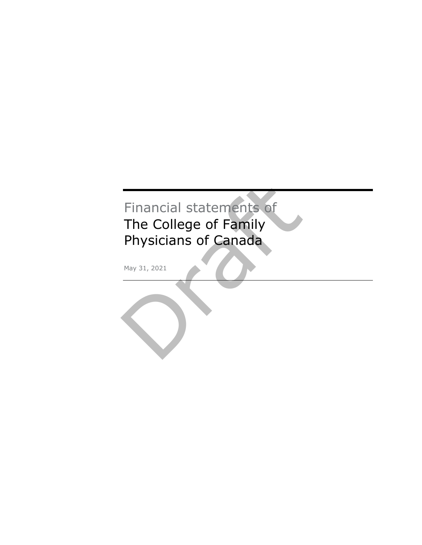# Financial statements of Financial statements of<br>The College of Family<br>Physicians of Canada The College of Family Physicians of Canada

May 31, 2021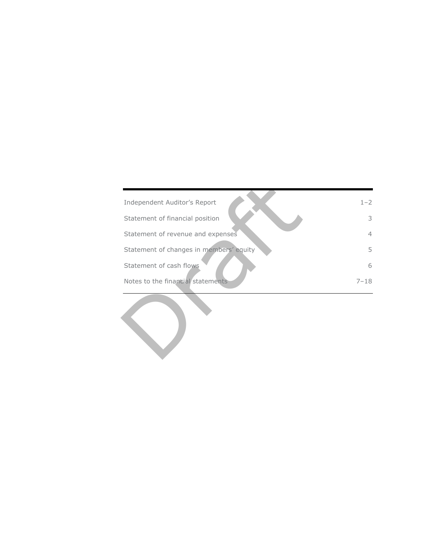| Independent Auditor's Report            | $1 - 2$        |
|-----------------------------------------|----------------|
| Statement of financial position         | 3              |
| Statement of revenue and expenses       | $\overline{4}$ |
| Statement of changes in members' equity | 5              |
| Statement of cash flows                 | 6              |
| Notes to the financial statements       | $7 - 18$       |
|                                         |                |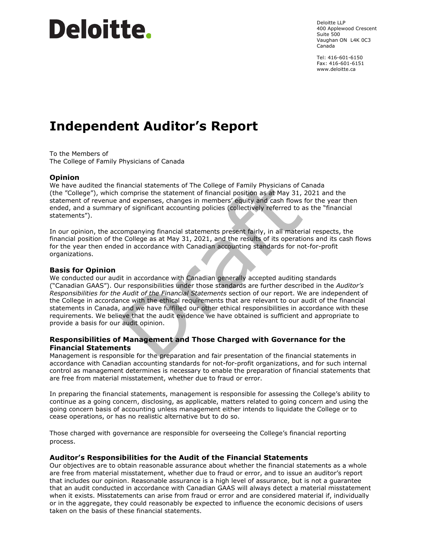## Deloitte.

 Suite 500 Vaughan ON L4K 0C3 Deloitte LLP 400 Applewood Crescent Canada

Tel: 416-601-6150 Fax: 416-601-6151 <www.deloitte.ca>

### **Independent Auditor's Report**

To the Members of The College of Family Physicians of Canada

#### **Opinion**

We have audited the financial statements of The College of Family Physicians of Canada (the "College"), which comprise the statement of financial position as at May 31, 2021 and the statement of revenue and expenses, changes in members' equity and cash flows for the year then ended, and a summary of significant accounting policies (collectively referred to as the "financial statements").

In our opinion, the accompanying financial statements present fairly, in all material respects, the financial position of the College as at May 31, 2021, and the results of its operations and its cash flows for the year then ended in accordance with Canadian accounting standards for not-for-profit organizations.

#### **Basis for Opinion**

nancial statements of The College of Family Physicians of 6<br>comprise the statement of financial position as at May 31,<br>and expenses, changes in members' equity and cash flows<br>of significant accounting policies (collectivel We conducted our audit in accordance with Canadian generally accepted auditing standards ("Canadian GAAS"). Our responsibilities under those standards are further described in the *Auditor's Responsibilities for the Audit of the Financial Statements* section of our report. We are independent of the College in accordance with the ethical requirements that are relevant to our audit of the financial statements in Canada, and we have fulfilled our other ethical responsibilities in accordance with these requirements. We believe that the audit evidence we have obtained is sufficient and appropriate to provide a basis for our audit opinion.

#### **Responsibilities of Management and Those Charged with Governance for the Financial Statements**

Management is responsible for the preparation and fair presentation of the financial statements in accordance with Canadian accounting standards for not-for-profit organizations, and for such internal control as management determines is necessary to enable the preparation of financial statements that are free from material misstatement, whether due to fraud or error.

In preparing the financial statements, management is responsible for assessing the College's ability to continue as a going concern, disclosing, as applicable, matters related to going concern and using the going concern basis of accounting unless management either intends to liquidate the College or to cease operations, or has no realistic alternative but to do so.

Those charged with governance are responsible for overseeing the College's financial reporting process.

#### **Auditor's Responsibilities for the Audit of the Financial Statements**

Our objectives are to obtain reasonable assurance about whether the financial statements as a whole are free from material misstatement, whether due to fraud or error, and to issue an auditor's report that includes our opinion. Reasonable assurance is a high level of assurance, but is not a guarantee that an audit conducted in accordance with Canadian GAAS will always detect a material misstatement when it exists. Misstatements can arise from fraud or error and are considered material if, individually or in the aggregate, they could reasonably be expected to influence the economic decisions of users taken on the basis of these financial statements.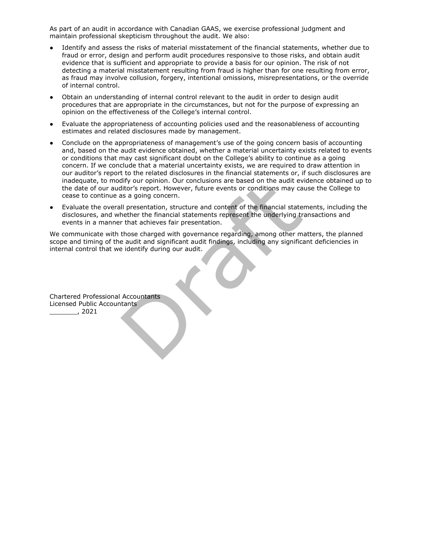As part of an audit in accordance with Canadian GAAS, we exercise professional judgment and maintain professional skepticism throughout the audit. We also:

- Identify and assess the risks of material misstatement of the financial statements, whether due to fraud or error, design and perform audit procedures responsive to those risks, and obtain audit evidence that is sufficient and appropriate to provide a basis for our opinion. The risk of not detecting a material misstatement resulting from fraud is higher than for one resulting from error, as fraud may involve collusion, forgery, intentional omissions, misrepresentations, or the override of internal control.
- Obtain an understanding of internal control relevant to the audit in order to design audit procedures that are appropriate in the circumstances, but not for the purpose of expressing an opinion on the effectiveness of the College's internal control.
- Evaluate the appropriateness of accounting policies used and the reasonableness of accounting estimates and related disclosures made by management.
- Conclude on the appropriateness of management's use of the going concern basis of accounting and, based on the audit evidence obtained, whether a material uncertainty exists related to events or conditions that may cast significant doubt on the College's ability to continue as a going concern. If we conclude that a material uncertainty exists, we are required to draw attention in our auditor's report to the related disclosures in the financial statements or, if such disclosures are inadequate, to modify our opinion. Our conclusions are based on the audit evidence obtained up to the date of our auditor's report. However, future events or conditions may cause the College to cease to continue as a going concern.
- Evaluate the overall presentation, structure and content of the financial statements, including the disclosures, and whether the financial statements represent the underlying transactions and events in a manner that achieves fair presentation.

We communicate with those charged with governance regarding, among other matters, the planned scope and timing of the audit and significant audit findings, including any significant deficiencies in internal control that we identify during our audit. of the analysis of the analysis are based on the audit evidency of the proof. However, future events or conditions may call and say and content. Il presentation, structure and content of the financial state hether the fina

Chartered Professional Accountants Licensed Public Accountants  $\frac{1}{2021}$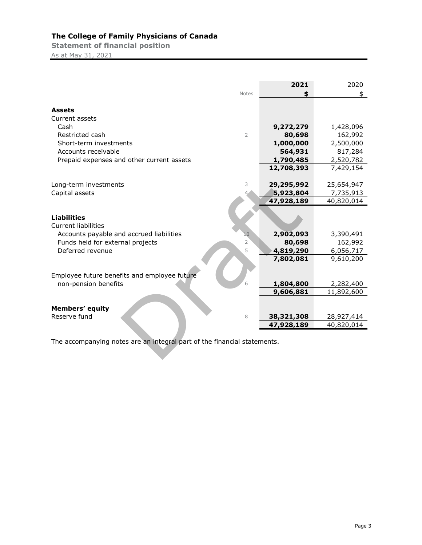#### **The College of Family Physicians of Canada**

**Statement of financial position** 

As at May 31, 2021

| <b>Notes</b>                                                             |            | 2021<br>\$ | 2020<br>\$ |
|--------------------------------------------------------------------------|------------|------------|------------|
| <b>Assets</b>                                                            |            |            |            |
| Current assets                                                           |            |            |            |
| Cash                                                                     |            | 9,272,279  | 1,428,096  |
| Restricted cash<br>$\overline{2}$                                        |            | 80,698     | 162,992    |
| Short-term investments                                                   |            | 1,000,000  | 2,500,000  |
| Accounts receivable                                                      |            | 564,931    | 817,284    |
| Prepaid expenses and other current assets                                |            | 1,790,485  | 2,520,782  |
|                                                                          | 12,708,393 |            | 7,429,154  |
|                                                                          |            |            |            |
| Long-term investments<br>3                                               | 29,295,992 |            | 25,654,947 |
| Capital assets                                                           |            | 5,923,804  | 7,735,913  |
|                                                                          | 47,928,189 |            | 40,820,014 |
| <b>Liabilities</b><br>Current liabilities                                |            |            |            |
| Accounts payable and accrued liabilities<br>10                           |            | 2,902,093  | 3,390,491  |
| Funds held for external projects<br>2                                    |            | 80,698     | 162,992    |
| Deferred revenue<br>5                                                    |            | 4,819,290  | 6,056,717  |
|                                                                          |            | 7,802,081  | 9,610,200  |
| Employee future benefits and employee future                             |            |            |            |
| non-pension benefits                                                     |            | 1,804,800  | 2,282,400  |
|                                                                          |            | 9,606,881  | 11,892,600 |
| <b>Members' equity</b><br>Reserve fund<br>8                              | 38,321,308 |            | 28,927,414 |
|                                                                          | 47,928,189 |            | 40,820,014 |
|                                                                          |            |            |            |
| The accompanying notes are an integral part of the financial statements. |            |            |            |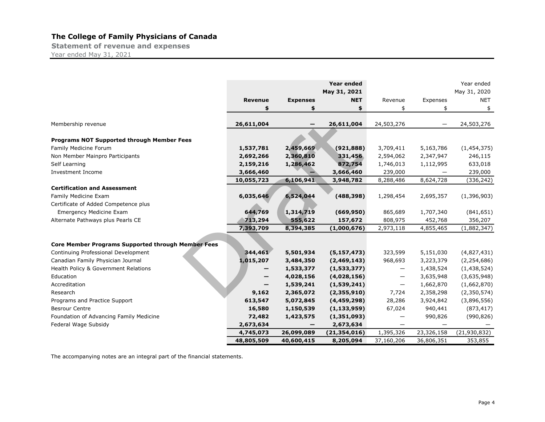#### The College of Family Physicians of Canada

 Year ended May 31, 2021 Statement of revenue and expenses

|                                                    |                |                 | <b>Year ended</b><br>May 31, 2021 |                          |            | Year ended<br>May 31, 2020 |
|----------------------------------------------------|----------------|-----------------|-----------------------------------|--------------------------|------------|----------------------------|
|                                                    | <b>Revenue</b> | <b>Expenses</b> | <b>NET</b>                        | Revenue                  | Expenses   | <b>NET</b>                 |
|                                                    | \$             | \$              | \$                                | \$                       | \$         | \$                         |
|                                                    |                |                 |                                   |                          |            |                            |
| Membership revenue                                 | 26,611,004     |                 | 26,611,004                        | 24,503,276               |            | 24,503,276                 |
| <b>Programs NOT Supported through Member Fees</b>  |                |                 |                                   |                          |            |                            |
| Family Medicine Forum                              | 1,537,781      | 2,459,669       | (921, 888)                        | 3,709,411                | 5,163,786  | (1, 454, 375)              |
| Non Member Mainpro Participants                    | 2,692,266      | 2,360,810       | 331,456                           | 2,594,062                | 2,347,947  | 246,115                    |
| Self Learning                                      | 2,159,216      | 1,286,462       | 872,754                           | 1,746,013                | 1,112,995  | 633,018                    |
| <b>Investment Income</b>                           | 3,666,460      |                 | 3,666,460                         | 239,000                  |            | 239,000                    |
|                                                    | 10,055,723     | 6,106,941       | 3,948,782                         | 8,288,486                | 8,624,728  | (336, 242)                 |
| <b>Certification and Assessment</b>                |                |                 |                                   |                          |            |                            |
| Family Medicine Exam                               | 6,035,646      | 6,524,044       | (488, 398)                        | 1,298,454                | 2,695,357  | (1,396,903)                |
| Certificate of Added Competence plus               |                |                 |                                   |                          |            |                            |
| <b>Emergency Medicine Exam</b>                     | 644,769        | 1,314,719       | (669, 950)                        | 865,689                  | 1,707,340  | (841, 651)                 |
| Alternate Pathways plus Pearls CE                  | 713,294        | 555,622         | 157,672                           | 808,975                  | 452,768    | 356,207                    |
|                                                    | 7,393,709      | 8,394,385       | (1,000,676)                       | 2,973,118                | 4,855,465  | (1,882,347)                |
|                                                    |                |                 |                                   |                          |            |                            |
| Core Member Programs Supported through Member Fees |                |                 |                                   |                          |            |                            |
| Continuing Professional Development                | 344,461        | 5,501,934       | (5, 157, 473)                     | 323,599                  | 5,151,030  | (4,827,431)                |
| Canadian Family Physician Journal                  | 1,015,207      | 3,484,350       | (2,469,143)                       | 968,693                  | 3,223,379  | (2, 254, 686)              |
| Health Policy & Government Relations               | –              | 1,533,377       | (1,533,377)                       | $\qquad \qquad -$        | 1,438,524  | (1,438,524)                |
| Education                                          |                | 4,028,156       | (4,028,156)                       | $\overline{\phantom{0}}$ | 3,635,948  | (3,635,948)                |
| Accreditation                                      |                | 1,539,241       | (1,539,241)                       | $\qquad \qquad -$        | 1,662,870  | (1,662,870)                |
| Research                                           | 9,162          | 2,365,072       | (2,355,910)                       | 7,724                    | 2,358,298  | (2,350,574)                |
| Programs and Practice Support                      | 613,547        | 5,072,845       | (4,459,298)                       | 28,286                   | 3,924,842  | (3,896,556)                |
| <b>Besrour Centre</b>                              | 16,580         | 1,150,539       | (1, 133, 959)                     | 67,024                   | 940,441    | (873, 417)                 |
| Foundation of Advancing Family Medicine            | 72,482         | 1,423,575       | (1,351,093)                       |                          | 990,826    | (990, 826)                 |
| Federal Wage Subsidy                               | 2,673,634      | —               | 2,673,634                         |                          |            |                            |
|                                                    | 4,745,073      | 26,099,089      | (21, 354, 016)                    | 1,395,326                | 23,326,158 | (21, 930, 832)             |
|                                                    | 48,805,509     | 40,600,415      | 8,205,094                         | 37,160,206               | 36,806,351 | 353,855                    |

The accompanying notes are an integral part of the financial statements.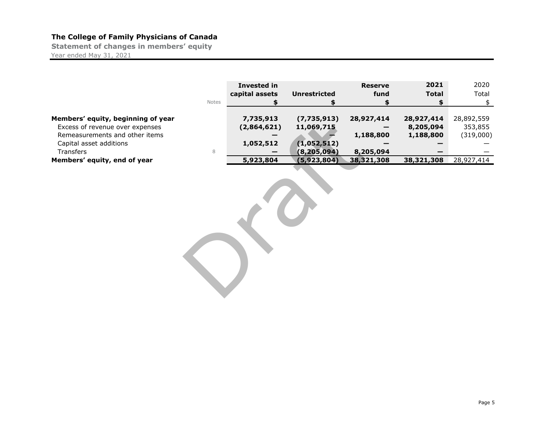| The College of Family Physicians of Canada<br>Statement of changes in members' equity<br>Year ended May 31, 2021                                                                       |       |                                                    |                                                                          |                                                    |                                                    |                                                  |
|----------------------------------------------------------------------------------------------------------------------------------------------------------------------------------------|-------|----------------------------------------------------|--------------------------------------------------------------------------|----------------------------------------------------|----------------------------------------------------|--------------------------------------------------|
|                                                                                                                                                                                        | Notes | <b>Invested in</b><br>capital assets               | <b>Unrestricted</b>                                                      | <b>Reserve</b><br>fund                             | 2021<br><b>Total</b>                               | 2020<br>Total<br>\$                              |
| Members' equity, beginning of year<br>Excess of revenue over expenses<br>Remeasurements and other items<br>Capital asset additions<br><b>Transfers</b><br>Members' equity, end of year | 8     | 7,735,913<br>(2,864,621)<br>1,052,512<br>5,923,804 | (7,735,913)<br>11,069,715<br>(1,052,512)<br>(8, 205, 094)<br>(5,923,804) | 28,927,414<br>1,188,800<br>8,205,094<br>38,321,308 | 28,927,414<br>8,205,094<br>1,188,800<br>38,321,308 | 28,892,559<br>353,855<br>(319,000)<br>28,927,414 |
|                                                                                                                                                                                        |       |                                                    |                                                                          |                                                    |                                                    |                                                  |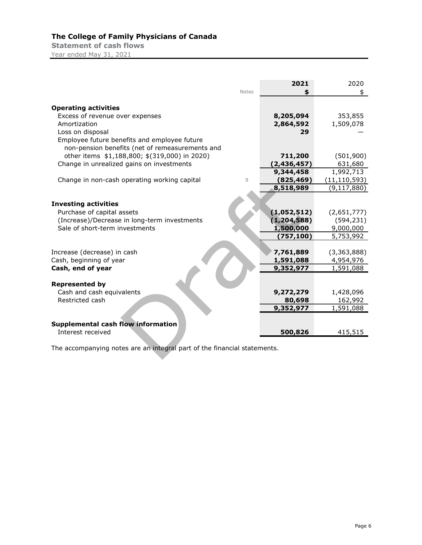#### The College of Family Physicians of Canada

 Statement of cash flows Year ended May 31, 2021

|                                                                          | <b>Notes</b> | 2021<br>\$    | 2020<br>\$     |
|--------------------------------------------------------------------------|--------------|---------------|----------------|
| <b>Operating activities</b>                                              |              |               |                |
| Excess of revenue over expenses                                          |              | 8,205,094     | 353,855        |
| Amortization                                                             |              | 2,864,592     | 1,509,078      |
| Loss on disposal                                                         |              | 29            |                |
| Employee future benefits and employee future                             |              |               |                |
| non-pension benefits (net of remeasurements and                          |              |               |                |
| other items \$1,188,800; \$(319,000) in 2020)                            |              | 711,200       | (501, 900)     |
| Change in unrealized gains on investments                                |              | (2, 436, 457) | 631,680        |
|                                                                          |              | 9,344,458     | 1,992,713      |
| Change in non-cash operating working capital                             | 9            | (825, 469)    | (11, 110, 593) |
|                                                                          |              | 8,518,989     | (9, 117, 880)  |
|                                                                          |              |               |                |
| <b>Investing activities</b>                                              |              |               |                |
| Purchase of capital assets                                               |              | (1,052,512)   | (2,651,777)    |
| (Increase)/Decrease in long-term investments                             |              | (1, 204, 588) | (594, 231)     |
| Sale of short-term investments                                           |              | 1,500,000     | 9,000,000      |
|                                                                          |              | (757, 100)    | 5,753,992      |
|                                                                          |              |               |                |
| Increase (decrease) in cash                                              |              | 7,761,889     | (3,363,888)    |
| Cash, beginning of year                                                  |              | 1,591,088     | 4,954,976      |
| Cash, end of year                                                        |              | 9,352,977     | 1,591,088      |
|                                                                          |              |               |                |
| <b>Represented by</b><br>Cash and cash equivalents                       |              | 9,272,279     | 1,428,096      |
| Restricted cash                                                          |              | 80,698        | 162,992        |
|                                                                          |              | 9,352,977     | 1,591,088      |
|                                                                          |              |               |                |
| <b>Supplemental cash flow information</b>                                |              |               |                |
| Interest received                                                        |              | 500,826       | 415,515        |
|                                                                          |              |               |                |
| The accompanying notes are an integral part of the financial statements. |              |               |                |
|                                                                          |              |               |                |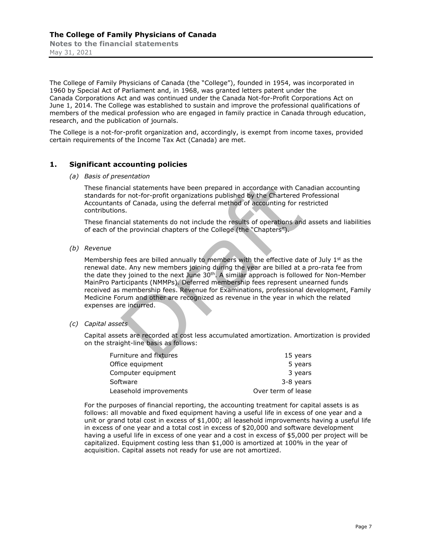The College of Family Physicians of Canada (the "College"), founded in 1954, was incorporated in 1960 by Special Act of Parliament and, in 1968, was granted letters patent under the Canada Corporations Act and was continued under the Canada Not-for-Profit Corporations Act on June 1, 2014. The College was established to sustain and improve the professional qualifications of members of the medical profession who are engaged in family practice in Canada through education, research, and the publication of journals.

The College is a not-for-profit organization and, accordingly, is exempt from income taxes, provided certain requirements of the Income Tax Act (Canada) are met.

#### **1. Significant accounting policies**

#### *(a) Basis of presentation*

contributions. These financial statements have been prepared in accordance with Canadian accounting standards for not-for-profit organizations published by the Chartered Professional Accountants of Canada, using the deferral method of accounting for restricted

These financial statements do not include the results of operations and assets and liabilities of each of the provincial chapters of the College (the "Chapters").

 *(b) Revenue* 

Membership fees are billed annually to members with the effective date of July  $1<sup>st</sup>$  as the renewal date. Any new members joining during the year are billed at a pro-rata fee from the date they joined to the next June 30<sup>th</sup>. A similar approach is followed for Non-Member MainPro Participants (NMMPs). Deferred membership fees represent unearned funds received as membership fees. Revenue for Examinations, professional development, Family Medicine Forum and other are recognized as revenue in the year in which the related expenses are incurred. cial statements have been prepared in accordance with Ca<br>or not-for-profit organizations published by the Chartered F<br>s of Canada, using the deferral method of accounting for re<br>s.<br>cial statements do not include the result

*(c) Capital assets* 

Capital assets are recorded at cost less accumulated amortization. Amortization is provided on the straight-line basis as follows:

| Furniture and fixtures | 15 years           |
|------------------------|--------------------|
| Office equipment       | 5 years            |
| Computer equipment     | 3 years            |
| Software               | 3-8 years          |
| Leasehold improvements | Over term of lease |

For the purposes of financial reporting, the accounting treatment for capital assets is as follows: all movable and fixed equipment having a useful life in excess of one year and a unit or grand total cost in excess of \$1,000; all leasehold improvements having a useful life in excess of one year and a total cost in excess of \$20,000 and software development having a useful life in excess of one year and a cost in excess of \$5,000 per project will be capitalized. Equipment costing less than \$1,000 is amortized at 100% in the year of acquisition. Capital assets not ready for use are not amortized.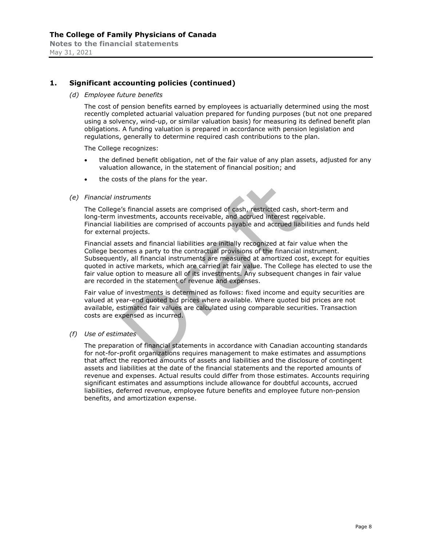#### **1. Significant accounting policies (continued)**

#### *(d) Employee future benefits*

The cost of pension benefits earned by employees is actuarially determined using the most recently completed actuarial valuation prepared for funding purposes (but not one prepared using a solvency, wind-up, or similar valuation basis) for measuring its defined benefit plan obligations. A funding valuation is prepared in accordance with pension legislation and regulations, generally to determine required cash contributions to the plan.

The College recognizes:

- the defined benefit obligation, net of the fair value of any plan assets, adjusted for any valuation allowance, in the statement of financial position; and
- the costs of the plans for the year.

#### *(e) Financial instruments*

The College's financial assets are comprised of cash, restricted cash, short-term and long-term investments, accounts receivable, and accrued interest receivable. Financial liabilities are comprised of accounts payable and accrued liabilities and funds held for external projects.

Financial assets and financial liabilities are initially recognized at fair value when the College becomes a party to the contractual provisions of the financial instrument. Subsequently, all financial instruments are measured at amortized cost, except for equities quoted in active markets, which are carried at fair value. The College has elected to use the fair value option to measure all of its investments. Any subsequent changes in fair value are recorded in the statement of revenue and expenses. struments<br>
"Struments"<br>
"Struments, accounts receivable, and accrued interest rece-<br>
holities are comprised of accounts payable and accrued interest rece-<br>
bilities are comprised of accounts payable and accrued liab<br>
proje

Fair value of investments is determined as follows: fixed income and equity securities are valued at year-end quoted bid prices where available. Where quoted bid prices are not available, estimated fair values are calculated using comparable securities. Transaction costs are expensed as incurred.

*(f) Use of estimates* 

The preparation of financial statements in accordance with Canadian accounting standards for not-for-profit organizations requires management to make estimates and assumptions that affect the reported amounts of assets and liabilities and the disclosure of contingent assets and liabilities at the date of the financial statements and the reported amounts of revenue and expenses. Actual results could differ from those estimates. Accounts requiring significant estimates and assumptions include allowance for doubtful accounts, accrued liabilities, deferred revenue, employee future benefits and employee future non-pension benefits, and amortization expense.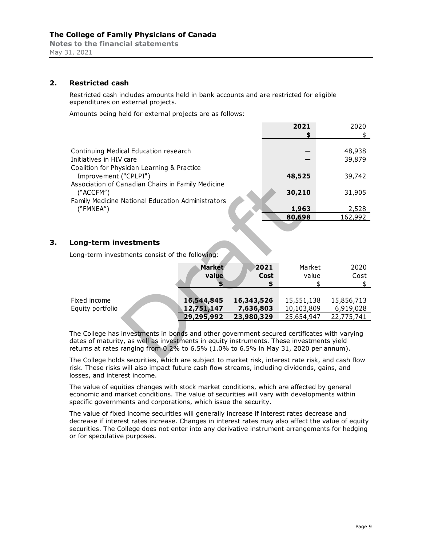#### **2. Restricted cash**

Restricted cash includes amounts held in bank accounts and are restricted for eligible expenditures on external projects.

Amounts being held for external projects are as follows:

|                                                   | 2021   | 2020    |
|---------------------------------------------------|--------|---------|
|                                                   |        |         |
|                                                   |        |         |
| Continuing Medical Education research             |        | 48,938  |
| Initiatives in HIV care                           |        | 39,879  |
| Coalition for Physician Learning & Practice       |        |         |
| Improvement ("CPLPI")                             | 48,525 | 39,742  |
| Association of Canadian Chairs in Family Medicine |        |         |
| ("ACCFM")                                         | 30,210 | 31,905  |
| Family Medicine National Education Administrators |        |         |
| ("FMNEA")                                         | 1,963  | 2,528   |
|                                                   | 80,698 | 162,992 |

#### **3. Long-term investments**

| Association of Canadian Chairs in Family Medicine                                                 |               |            |            |            |
|---------------------------------------------------------------------------------------------------|---------------|------------|------------|------------|
| ("ACCFM")                                                                                         |               |            | 30,210     | 31,905     |
| Family Medicine National Education Administrators                                                 |               |            |            |            |
| ("FMNEA")                                                                                         |               |            | 1,963      | 2,528      |
|                                                                                                   |               |            | 80,698     | 162,992    |
|                                                                                                   |               |            |            |            |
|                                                                                                   |               |            |            |            |
| Long-term investments                                                                             |               |            |            |            |
| Long-term investments consist of the following:                                                   |               |            |            |            |
|                                                                                                   |               |            |            |            |
|                                                                                                   | <b>Market</b> | 2021       | Market     | 2020       |
|                                                                                                   | value         | Cost       | value      | Cost       |
|                                                                                                   |               |            |            |            |
|                                                                                                   |               |            |            |            |
| Fixed income                                                                                      | 16,544,845    | 16,343,526 | 15,551,138 | 15,856,713 |
| Equity portfolio                                                                                  | 12,751,147    | 7,636,803  | 10,103,809 | 6,919,028  |
|                                                                                                   | 29,295,992    | 23,980,329 | 25,654,947 | 22,775,741 |
|                                                                                                   |               |            |            |            |
| The College has investments in bonds and other government secured certificates with varying       |               |            |            |            |
| dates of maturity, as well as investments in equity instruments. These investments yield          |               |            |            |            |
| returns at rates ranging from 0.2% to 6.5% (1.0% to 6.5% in May 31, 2020 per annum).              |               |            |            |            |
| The Callege helds sequrities, which are subject to market rick, interest rate rick, and sash flow |               |            |            |            |

The College holds securities, which are subject to market risk, interest rate risk, and cash flow risk. These risks will also impact future cash flow streams, including dividends, gains, and losses, and interest income.

The value of equities changes with stock market conditions, which are affected by general economic and market conditions. The value of securities will vary with developments within specific governments and corporations, which issue the security.

The value of fixed income securities will generally increase if interest rates decrease and decrease if interest rates increase. Changes in interest rates may also affect the value of equity securities. The College does not enter into any derivative instrument arrangements for hedging or for speculative purposes.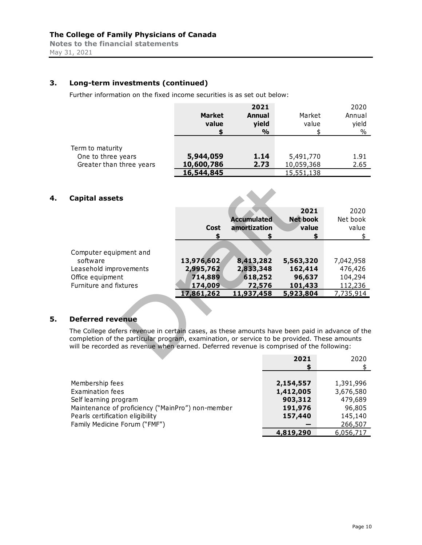**Notes to the financial statements**  May 31, 2021

#### **3. Long-term investments (continued)**

Further information on the fixed income securities is as set out below:

|                                                                    | <b>Market</b><br>value                | 2021<br><b>Annual</b><br>yield<br>$\frac{0}{0}$ | Market<br>value                       | 2020<br>Annual<br>yield<br>$\%$ |
|--------------------------------------------------------------------|---------------------------------------|-------------------------------------------------|---------------------------------------|---------------------------------|
| Term to maturity<br>One to three years<br>Greater than three years | 5,944,059<br>10,600,786<br>16,544,845 | 1.14<br>2.73                                    | 5,491,770<br>10,059,368<br>15,551,138 | 1.91<br>2.65                    |

#### **4. Capital assets**

| Capital assets                                                                                                                                                                                                                                                                            |            |                    |                 |           |
|-------------------------------------------------------------------------------------------------------------------------------------------------------------------------------------------------------------------------------------------------------------------------------------------|------------|--------------------|-----------------|-----------|
|                                                                                                                                                                                                                                                                                           |            |                    | 2021            | 2020      |
|                                                                                                                                                                                                                                                                                           |            | <b>Accumulated</b> | <b>Net book</b> | Net book  |
|                                                                                                                                                                                                                                                                                           | Cost       | amortization       | value           | value     |
| Computer equipment and                                                                                                                                                                                                                                                                    |            |                    |                 |           |
| software                                                                                                                                                                                                                                                                                  | 13,976,602 | 8,413,282          | 5,563,320       | 7,042,958 |
| Leasehold improvements                                                                                                                                                                                                                                                                    | 2,995,762  | 2,833,348          | 162,414         | 476,426   |
| Office equipment                                                                                                                                                                                                                                                                          | 714,889    | 618,252            | 96,637          | 104,294   |
| Furniture and fixtures                                                                                                                                                                                                                                                                    | 174,009    | 72,576             | 101,433         | 112,236   |
|                                                                                                                                                                                                                                                                                           | 17,861,262 | 11,937,458         | 5,923,804       | 7,735,914 |
| <b>Deferred revenue</b>                                                                                                                                                                                                                                                                   |            |                    |                 |           |
| The College defers revenue in certain cases, as these amounts have been paid in advance of the<br>completion of the particular program, examination, or service to be provided. These amounts<br>will be recorded as revenue when earned. Deferred revenue is comprised of the following: |            |                    |                 |           |
|                                                                                                                                                                                                                                                                                           |            |                    | フハフ 1           | 2020.     |

#### **5. Deferred revenue**

|                                                   | 2021      | 2020      |
|---------------------------------------------------|-----------|-----------|
|                                                   |           |           |
|                                                   |           |           |
| Membership fees                                   | 2,154,557 | 1,391,996 |
| Examination fees                                  | 1,412,005 | 3,676,580 |
| Self learning program                             | 903,312   | 479,689   |
| Maintenance of proficiency ("MainPro") non-member | 191,976   | 96,805    |
| Pearls certification eligibility                  | 157,440   | 145,140   |
| Family Medicine Forum ("FMF")                     |           | 266,507   |
|                                                   | 4,819,290 | 6,056,717 |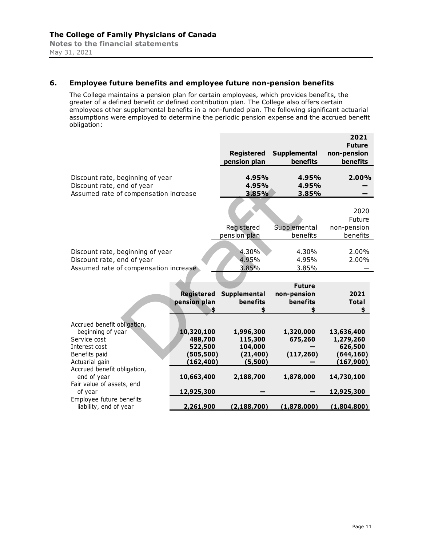#### **6. Employee future benefits and employee future non-pension benefits**

The College maintains a pension plan for certain employees, which provides benefits, the greater of a defined benefit or defined contribution plan. The College also offers certain employees other supplemental benefits in a non-funded plan. The following significant actuarial assumptions were employed to determine the periodic pension expense and the accrued benefit obligation:

|                                                                                                                                          |                                                              | <b>Registered</b><br>pension plan                       | Supplemental<br>benefits                 | 2021<br><b>Future</b><br>non-pension<br>benefits               |
|------------------------------------------------------------------------------------------------------------------------------------------|--------------------------------------------------------------|---------------------------------------------------------|------------------------------------------|----------------------------------------------------------------|
| Discount rate, beginning of year<br>Discount rate, end of year<br>Assumed rate of compensation increase                                  |                                                              | 4.95%<br>4.95%<br>3.85%                                 | 4.95%<br>4.95%<br>3.85%                  | 2.00%                                                          |
|                                                                                                                                          |                                                              | Registered<br>pension plan                              | Supplemental<br>benefits                 | 2020<br>Future<br>non-pension<br>benefits                      |
| Discount rate, beginning of year<br>Discount rate, end of year<br>Assumed rate of compensation increase                                  |                                                              | 4.30%<br>4.95%<br>3.85%                                 | 4.30%<br>4.95%<br>3.85%                  | 2.00%<br>2.00%                                                 |
|                                                                                                                                          | <b>Registered</b><br>pension plan                            | Supplemental<br>benefits                                | <b>Future</b><br>non-pension<br>benefits | 2021<br><b>Total</b>                                           |
| Accrued benefit obligation,<br>beginning of year<br>Service cost<br>Interest cost<br>Benefits paid<br>Actuarial gain                     | 10,320,100<br>488,700<br>522,500<br>(505, 500)<br>(162, 400) | 1,996,300<br>115,300<br>104,000<br>(21, 400)<br>(5,500) | 1,320,000<br>675,260<br>(117, 260)       | 13,636,400<br>1,279,260<br>626,500<br>(644, 160)<br>(167, 900) |
| Accrued benefit obligation,<br>end of year<br>Fair value of assets, end<br>of year<br>Employee future benefits<br>liability, end of year | 10,663,400<br>12,925,300<br>2,261,900                        | 2,188,700<br>(2, 188, 700)                              | 1,878,000<br>(1,878,000)                 | 14,730,100<br>12,925,300<br>(1,804,800)                        |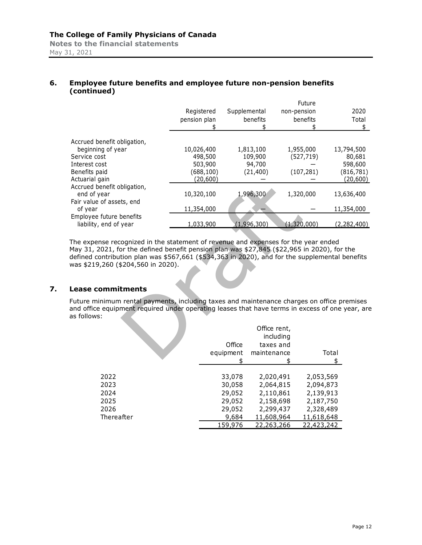#### **6. Employee future benefits and employee future non-pension benefits (continued)**

|                                                                                                 |              |              |              | Future        |             |
|-------------------------------------------------------------------------------------------------|--------------|--------------|--------------|---------------|-------------|
|                                                                                                 | Registered   | Supplemental |              | non-pension   | 2020        |
|                                                                                                 | pension plan |              | benefits     | benefits      | Total       |
|                                                                                                 |              |              |              |               |             |
|                                                                                                 |              |              |              |               |             |
| Accrued benefit obligation,                                                                     |              |              |              |               |             |
| beginning of year                                                                               | 10,026,400   |              | 1,813,100    | 1,955,000     | 13,794,500  |
| Service cost                                                                                    | 498,500      |              | 109,900      | (527, 719)    | 80,681      |
| Interest cost                                                                                   | 503,900      |              | 94,700       |               | 598,600     |
| Benefits paid                                                                                   | (688, 100)   |              | (21, 400)    | (107, 281)    | (816, 781)  |
| Actuarial gain                                                                                  | (20, 600)    |              |              |               | (20,600)    |
| Accrued benefit obligation,                                                                     |              |              |              |               |             |
| end of year                                                                                     | 10,320,100   |              | 1,996,300    | 1,320,000     | 13,636,400  |
| Fair value of assets, end                                                                       |              |              |              |               |             |
| of year                                                                                         | 11,354,000   |              |              |               | 11,354,000  |
| Employee future benefits                                                                        |              |              |              |               |             |
| liability, end of year                                                                          | 1,033,900    |              | (1,996,300)  | (1, 320, 000) | (2,282,400) |
|                                                                                                 |              |              |              |               |             |
| The expense recognized in the statement of revenue and expenses for the year ended              |              |              |              |               |             |
| May 31, 2021, for the defined benefit pension plan was \$27,845 (\$22,965 in 2020), for the     |              |              |              |               |             |
| defined contribution plan was \$567,661 (\$534,363 in 2020), and for the supplemental benefits  |              |              |              |               |             |
| was \$219,260 (\$204,560 in 2020).                                                              |              |              |              |               |             |
|                                                                                                 |              |              |              |               |             |
|                                                                                                 |              |              |              |               |             |
| Lease commitments                                                                               |              |              |              |               |             |
|                                                                                                 |              |              |              |               |             |
| Future minimum rental payments, including taxes and maintenance charges on office premises      |              |              |              |               |             |
| and office equipment required under operating leases that have terms in excess of one year, are |              |              |              |               |             |
| as follows:                                                                                     |              |              |              |               |             |
|                                                                                                 |              |              | Office rent, |               |             |
|                                                                                                 |              |              | including    |               |             |
|                                                                                                 |              | Office       | taxes and    |               |             |
|                                                                                                 |              | equipment    | maintenance  |               | Total       |
|                                                                                                 |              |              |              |               |             |

#### **7. Lease commitments**

|            | Office<br>equipment | Office rent,<br>including<br>taxes and<br>maintenance | Total             |
|------------|---------------------|-------------------------------------------------------|-------------------|
|            |                     |                                                       |                   |
| 2022       | 33,078              | 2,020,491                                             | 2,053,569         |
| 2023       | 30,058              | 2,064,815                                             | 2,094,873         |
| 2024       | 29,052              | 2,110,861                                             | 2,139,913         |
| 2025       | 29,052              | 2,158,698                                             | 2,187,750         |
| 2026       | 29,052              | 2,299,437                                             | 2,328,489         |
| Thereafter | 9,684               | 11,608,964                                            | 11,618,648        |
|            | 159,976             | 22,263,266                                            | <u>22,423,242</u> |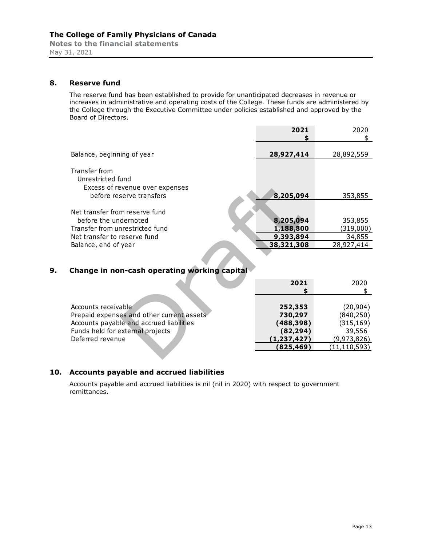#### **8. Reserve fund**

The reserve fund has been established to provide for unanticipated decreases in revenue or increases in administrative and operating costs of the College. These funds are administered by the College through the Executive Committee under policies established and approved by the Board of Directors.

|                                                             | 2021       | 2020       |
|-------------------------------------------------------------|------------|------------|
| Balance, beginning of year                                  | 28,927,414 | 28,892,559 |
|                                                             |            |            |
| Transfer from<br>Unrestricted fund                          |            |            |
| Excess of revenue over expenses<br>before reserve transfers | 8,205,094  | 353,855    |
| Net transfer from reserve fund                              |            |            |
| before the undernoted                                       | 8,205,094  | 353,855    |
| Transfer from unrestricted fund                             | 1,188,800  | (319,000)  |
| Net transfer to reserve fund                                | 9,393,894  | 34,855     |
| Balance, end of year                                        | 38,321,308 | 28,927,414 |

#### **9. Change in non-cash operating working capital**

| <u>UIILESUILLEU IUIIU</u>                    |               |                      |
|----------------------------------------------|---------------|----------------------|
| Excess of revenue over expenses              |               |                      |
| before reserve transfers                     | 8,205,094     | 353,855              |
|                                              |               |                      |
| Net transfer from reserve fund               |               |                      |
| before the undernoted                        | 8,205,094     | 353,855              |
| Transfer from unrestricted fund              | 1,188,800     | (319,000)            |
| Net transfer to reserve fund                 | 9,393,894     | 34,855               |
| Balance, end of year                         | 38,321,308    | 28,927,414           |
|                                              |               |                      |
|                                              |               |                      |
| Change in non-cash operating working capital |               |                      |
|                                              |               |                      |
|                                              | 2021          | 2020                 |
|                                              | \$            |                      |
|                                              |               |                      |
| Accounts receivable                          | 252,353       | (20, 904)            |
| Prepaid expenses and other current assets    | 730,297       | (840, 250)           |
| Accounts payable and accrued liabilities     | (488, 398)    | (315, 169)           |
| Funds held for external projects             | (82, 294)     | 39,556               |
| Deferred revenue                             | (1, 237, 427) | (9,973,826)          |
|                                              | (825,469)     | <u>(11,110,593) </u> |
|                                              |               |                      |
|                                              |               |                      |

#### **10. Accounts payable and accrued liabilities**

 Accounts payable and accrued liabilities is nil (nil in 2020) with respect to government remittances.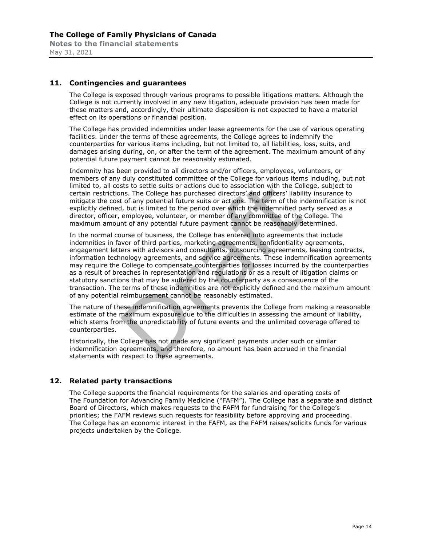#### **11. Contingencies and guarantees**

The College is exposed through various programs to possible litigations matters. Although the College is not currently involved in any new litigation, adequate provision has been made for these matters and, accordingly, their ultimate disposition is not expected to have a material effect on its operations or financial position.

 counterparties for various items including, but not limited to, all liabilities, loss, suits, and The College has provided indemnities under lease agreements for the use of various operating facilities. Under the terms of these agreements, the College agrees to indemnify the damages arising during, on, or after the term of the agreement. The maximum amount of any potential future payment cannot be reasonably estimated.

Indemnity has been provided to all directors and/or officers, employees, volunteers, or members of any duly constituted committee of the College for various items including, but not limited to, all costs to settle suits or actions due to association with the College, subject to certain restrictions. The College has purchased directors' and officers' liability insurance to mitigate the cost of any potential future suits or actions. The term of the indemnification is not explicitly defined, but is limited to the period over which the indemnified party served as a director, officer, employee, volunteer, or member of any committee of the College. The maximum amount of any potential future payment cannot be reasonably determined.

In the normal course of business, the College has entered into agreements that include indemnities in favor of third parties, marketing agreements, confidentiality agreements, engagement letters with advisors and consultants, outsourcing agreements, leasing contracts, information technology agreements, and service agreements. These indemnification agreements may require the College to compensate counterparties for losses incurred by the counterparties as a result of breaches in representation and regulations or as a result of litigation claims or statutory sanctions that may be suffered by the counterparty as a consequence of the transaction. The terms of these indemnities are not explicitly defined and the maximum amount of any potential reimbursement cannot be reasonably estimated. any considerate commicte of the Consegr for the consecutions that and the college has purchased directors' and officers' liabils of any potential future suits or actions. The term of the ir, but is limited to the period ov

The nature of these indemnification agreements prevents the College from making a reasonable estimate of the maximum exposure due to the difficulties in assessing the amount of liability, which stems from the unpredictability of future events and the unlimited coverage offered to counterparties.

Historically, the College has not made any significant payments under such or similar indemnification agreements, and therefore, no amount has been accrued in the financial statements with respect to these agreements.

#### **12. Related party transactions**

The College supports the financial requirements for the salaries and operating costs of The Foundation for Advancing Family Medicine ("FAFM"). The College has a separate and distinct Board of Directors, which makes requests to the FAFM for fundraising for the College's priorities; the FAFM reviews such requests for feasibility before approving and proceeding. The College has an economic interest in the FAFM, as the FAFM raises/solicits funds for various projects undertaken by the College.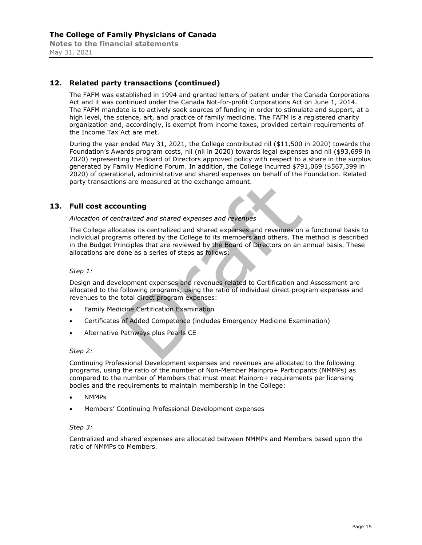#### **12. Related party transactions (continued)**

The FAFM was established in 1994 and granted letters of patent under the Canada Corporations Act and it was continued under the Canada Not-for-profit Corporations Act on June 1, 2014. The FAFM mandate is to actively seek sources of funding in order to stimulate and support, at a high level, the science, art, and practice of family medicine. The FAFM is a registered charity organization and, accordingly, is exempt from income taxes, provided certain requirements of the Income Tax Act are met.

During the year ended May 31, 2021, the College contributed nil (\$11,500 in 2020) towards the Foundation's Awards program costs, nil (nil in 2020) towards legal expenses and nil (\$93,699 in 2020) representing the Board of Directors approved policy with respect to a share in the surplus generated by Family Medicine Forum. In addition, the College incurred \$791,069 (\$567,399 in 2020) of operational, administrative and shared expenses on behalf of the Foundation. Related party transactions are measured at the exchange amount.

#### **13. Full cost accounting**

#### *Allocation of centralized and shared expenses and revenues*

The College allocates its centralized and shared expenses and revenues on a functional basis to individual programs offered by the College to its members and others. The method is described in the Budget Principles that are reviewed by the Board of Directors on an annual basis. These allocations are done as a series of steps as follows: In the exchange amount.<br>
Set the exchange amount.<br>
Interactized and shared expenses and revenues<br>
and the College to its members and cheres. The<br>
inciples that are reviewed by the Board of Directors on an<br>
one as a series

*Step 1:* 

Design and development expenses and revenues related to Certification and Assessment are allocated to the following programs, using the ratio of individual direct program expenses and revenues to the total direct program expenses:

- Family Medicine Certification Examination
- Certificates of Added Competence (includes Emergency Medicine Examination)
- Alternative Pathways plus Pearls CE

#### *Step 2:*

Continuing Professional Development expenses and revenues are allocated to the following programs, using the ratio of the number of Non-Member Mainpro+ Participants (NMMPs) as compared to the number of Members that must meet Mainpro+ requirements per licensing bodies and the requirements to maintain membership in the College:

- NMMPs
- Members' Continuing Professional Development expenses

#### *Step 3:*

 ratio of NMMPs to Members. Centralized and shared expenses are allocated between NMMPs and Members based upon the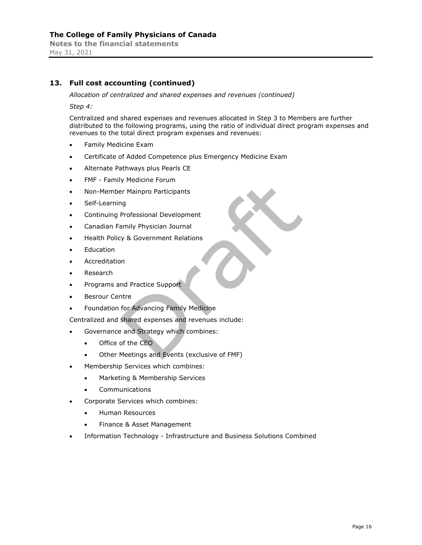#### **13. Full cost accounting (continued)**

*Allocation of centralized and shared expenses and revenues (continued)* 

*Step 4:* 

Centralized and shared expenses and revenues allocated in Step 3 to Members are further distributed to the following programs, using the ratio of individual direct program expenses and revenues to the total direct program expenses and revenues:

- Family Medicine Exam
- Certificate of Added Competence plus Emergency Medicine Exam
- Alternate Pathways plus Pearls CE
- FMF Family Medicine Forum
- Non-Member Mainpro Participants
- Self-Learning
- Continuing Professional Development
- Canadian Family Physician Journal
- Health Policy & Government Relations
- Education
- **Accreditation**
- Research
- Programs and Practice Support
- **Besrour Centre**
- Foundation for Advancing Family Medicine

Centralized and shared expenses and revenues include:

- Governance and Strategy which combines:
	- Office of the CEO
- Other Meetings and Events (exclusive of FMF) Experience Forum<br>
In Professional Development<br>
The Professional Development<br>
The Professional Development<br>
A Superport<br>
In A Practice Support<br>
Internal Practice Support<br>
Internal Practice Support<br>
Internal Practice Support
- Membership Services which combines:
	- Marketing & Membership Services
	- Communications
- Corporate Services which combines:
	- Human Resources
	- Finance & Asset Management
- Information Technology Infrastructure and Business Solutions Combined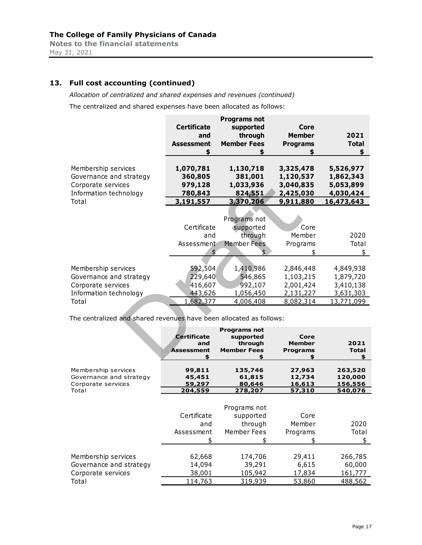**Notes to the financial statements**  May 31, 2021

#### **13. Full cost accounting (continued)**

*Allocation of centralized and shared expenses and revenues (continued)* 

The centralized and shared expenses have been allocated as follows:

|                                                                     | <b>Certificate</b>        | Programs not<br>supported | Core                   |                        |
|---------------------------------------------------------------------|---------------------------|---------------------------|------------------------|------------------------|
|                                                                     | and                       | through                   | <b>Member</b>          | 2021                   |
|                                                                     | <b>Assessment</b>         | <b>Member Fees</b>        | <b>Programs</b>        | <b>Total</b>           |
|                                                                     | \$                        |                           |                        | \$                     |
|                                                                     |                           |                           |                        |                        |
| Membership services<br>Governance and strategy                      | 1,070,781<br>360,805      | 1,130,718<br>381,001      | 3,325,478<br>1,120,537 | 5,526,977<br>1,862,343 |
| Corporate services                                                  | 979,128                   | 1,033,936                 | 3,040,835              | 5,053,899              |
| Information technology                                              | 780,843                   | 824,551                   | 2,425,030              | 4,030,424              |
| Total                                                               | 3,191,557                 | 3,370,206                 | 9,911,880              | 16,473,643             |
|                                                                     |                           |                           |                        |                        |
|                                                                     |                           | Programs not              |                        |                        |
|                                                                     | Certificate               | supported                 | Core                   |                        |
|                                                                     | and                       | through                   | Member                 | 2020                   |
|                                                                     | Assessment                | <b>Member Fees</b>        | Programs               | Total                  |
|                                                                     | \$                        |                           |                        | \$                     |
|                                                                     |                           |                           |                        |                        |
| Membership services                                                 | 592,504                   | 1,410,986                 | 2,846,448              | 4,849,938              |
| Governance and strategy                                             | 229,640<br>416,607        | 546,865<br>992,107        | 1,103,215<br>2,001,424 | 1,879,720              |
| Corporate services<br>Information technology                        | 443,626                   | 1,056,450                 | 2,131,227              | 3,410,138<br>3,631,303 |
| Total                                                               | 1,682,377                 | 4,006,408                 | 8,082,314              | 13,771,099             |
|                                                                     |                           |                           |                        |                        |
| The centralized and shared revenues have been allocated as follows: |                           |                           |                        |                        |
|                                                                     |                           | <b>Programs not</b>       |                        |                        |
|                                                                     | <b>Certificate</b><br>and | supported<br>through      | Core<br><b>Member</b>  | 2021                   |
|                                                                     | <b>Assessment</b>         | <b>Member Fees</b>        | <b>Programs</b>        | <b>Total</b>           |
|                                                                     | \$                        |                           | \$                     | \$                     |

|                         |                    | <b>Programs not</b> |                 |         |
|-------------------------|--------------------|---------------------|-----------------|---------|
|                         | <b>Certificate</b> | supported           | Core            |         |
|                         | and                | through             | <b>Member</b>   | 2021    |
|                         | <b>Assessment</b>  | <b>Member Fees</b>  | <b>Programs</b> | Total   |
|                         | S                  |                     | S               |         |
|                         |                    |                     |                 |         |
| Membership services     | 99,811             | 135,746             | 27,963          | 263,520 |
| Governance and strategy | 45,451             | 61,815              | 12,734          | 120,000 |
| Corporate services      | 59,297             | 80,646              | 16,613          | 156,556 |
| Total                   | 204,559            | 278,207             | 57,310          | 540,076 |
|                         |                    |                     |                 |         |
|                         |                    | Programs not        |                 |         |
|                         | Certificate        | supported           | Core            |         |
|                         | and                | through             | Member          | 2020    |
|                         | Assessment         | Member Fees         | Programs        | Total   |
|                         |                    |                     |                 |         |
|                         |                    |                     |                 |         |
| Membership services     | 62,668             | 174,706             | 29,411          | 266,785 |
| Governance and strategy | 14,094             | 39,291              | 6,615           | 60,000  |
| Corporate services      | 38,001             | 105,942             | 17,834          | 161,777 |
| Total                   | 114,763            | 319,939             | 53,860          | 488,562 |